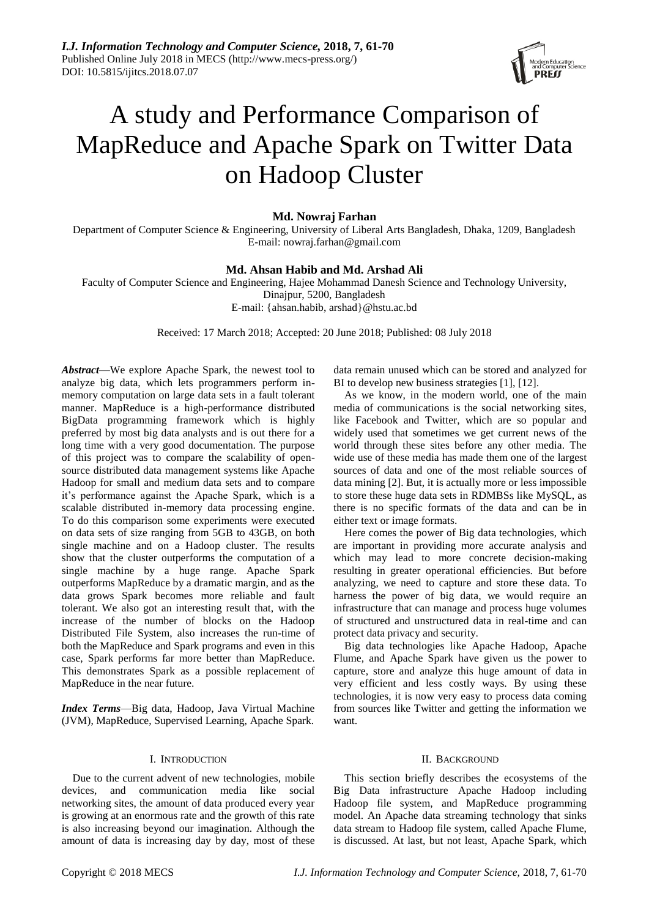

# A study and Performance Comparison of MapReduce and Apache Spark on Twitter Data on Hadoop Cluster

# **Md. Nowraj Farhan**

Department of Computer Science & Engineering, University of Liberal Arts Bangladesh, Dhaka, 1209, Bangladesh E-mail: nowraj.farhan@gmail.com

# **Md. Ahsan Habib and Md. Arshad Ali**

Faculty of Computer Science and Engineering, Hajee Mohammad Danesh Science and Technology University, Dinajpur, 5200, Bangladesh E-mail: {ahsan.habib, arshad}@hstu.ac.bd

Received: 17 March 2018; Accepted: 20 June 2018; Published: 08 July 2018

*Abstract*—We explore Apache Spark, the newest tool to analyze big data, which lets programmers perform inmemory computation on large data sets in a fault tolerant manner. MapReduce is a high-performance distributed BigData programming framework which is highly preferred by most big data analysts and is out there for a long time with a very good documentation. The purpose of this project was to compare the scalability of opensource distributed data management systems like Apache Hadoop for small and medium data sets and to compare it's performance against the Apache Spark, which is a scalable distributed in-memory data processing engine. To do this comparison some experiments were executed on data sets of size ranging from 5GB to 43GB, on both single machine and on a Hadoop cluster. The results show that the cluster outperforms the computation of a single machine by a huge range. Apache Spark outperforms MapReduce by a dramatic margin, and as the data grows Spark becomes more reliable and fault tolerant. We also got an interesting result that, with the increase of the number of blocks on the Hadoop Distributed File System, also increases the run-time of both the MapReduce and Spark programs and even in this case, Spark performs far more better than MapReduce. This demonstrates Spark as a possible replacement of MapReduce in the near future.

*Index Terms*—Big data, Hadoop, Java Virtual Machine (JVM), MapReduce, Supervised Learning, Apache Spark.

# I. INTRODUCTION

Due to the current advent of new technologies, mobile devices, and communication media like social networking sites, the amount of data produced every year is growing at an enormous rate and the growth of this rate is also increasing beyond our imagination. Although the amount of data is increasing day by day, most of these data remain unused which can be stored and analyzed for BI to develop new business strategies [1], [12].

As we know, in the modern world, one of the main media of communications is the social networking sites, like Facebook and Twitter, which are so popular and widely used that sometimes we get current news of the world through these sites before any other media. The wide use of these media has made them one of the largest sources of data and one of the most reliable sources of data mining [2]. But, it is actually more or less impossible to store these huge data sets in RDMBSs like MySQL, as there is no specific formats of the data and can be in either text or image formats.

Here comes the power of Big data technologies, which are important in providing more accurate analysis and which may lead to more concrete decision-making resulting in greater operational efficiencies. But before analyzing, we need to capture and store these data. To harness the power of big data, we would require an infrastructure that can manage and process huge volumes of structured and unstructured data in real-time and can protect data privacy and security.

Big data technologies like Apache Hadoop, Apache Flume, and Apache Spark have given us the power to capture, store and analyze this huge amount of data in very efficient and less costly ways. By using these technologies, it is now very easy to process data coming from sources like Twitter and getting the information we want.

## II. BACKGROUND

This section briefly describes the ecosystems of the Big Data infrastructure Apache Hadoop including Hadoop file system, and MapReduce programming model. An Apache data streaming technology that sinks data stream to Hadoop file system, called Apache Flume, is discussed. At last, but not least, Apache Spark, which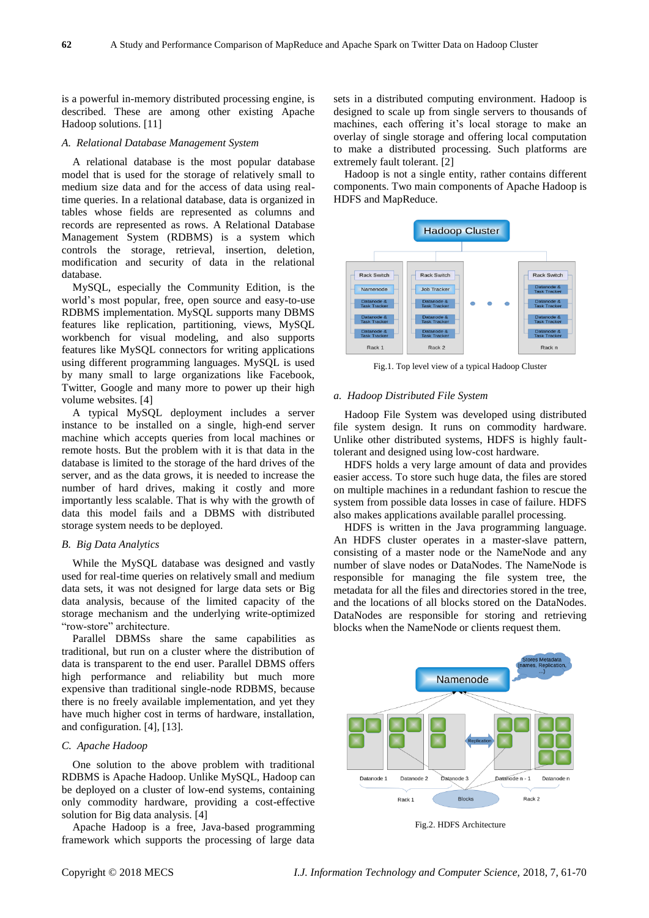is a powerful in-memory distributed processing engine, is described. These are among other existing Apache Hadoop solutions. [11]

#### *A. Relational Database Management System*

A relational database is the most popular database model that is used for the storage of relatively small to medium size data and for the access of data using realtime queries. In a relational database, data is organized in tables whose fields are represented as columns and records are represented as rows. A Relational Database Management System (RDBMS) is a system which controls the storage, retrieval, insertion, deletion, modification and security of data in the relational database.

MySQL, especially the Community Edition, is the world's most popular, free, open source and easy-to-use RDBMS implementation. MySQL supports many DBMS features like replication, partitioning, views, MySQL workbench for visual modeling, and also supports features like MySQL connectors for writing applications using different programming languages. MySQL is used by many small to large organizations like Facebook, Twitter, Google and many more to power up their high volume websites. [4]

A typical MySQL deployment includes a server instance to be installed on a single, high-end server machine which accepts queries from local machines or remote hosts. But the problem with it is that data in the database is limited to the storage of the hard drives of the server, and as the data grows, it is needed to increase the number of hard drives, making it costly and more importantly less scalable. That is why with the growth of data this model fails and a DBMS with distributed storage system needs to be deployed.

## *B. Big Data Analytics*

While the MySQL database was designed and vastly used for real-time queries on relatively small and medium data sets, it was not designed for large data sets or Big data analysis, because of the limited capacity of the storage mechanism and the underlying write-optimized "row-store" architecture.

Parallel DBMSs share the same capabilities as traditional, but run on a cluster where the distribution of data is transparent to the end user. Parallel DBMS offers high performance and reliability but much more expensive than traditional single-node RDBMS, because there is no freely available implementation, and yet they have much higher cost in terms of hardware, installation, and configuration. [4], [13].

## *C. Apache Hadoop*

One solution to the above problem with traditional RDBMS is Apache Hadoop. Unlike MySQL, Hadoop can be deployed on a cluster of low-end systems, containing only commodity hardware, providing a cost-effective solution for Big data analysis. [4]

Apache Hadoop is a free, Java-based programming framework which supports the processing of large data

sets in a distributed computing environment. Hadoop is designed to scale up from single servers to thousands of machines, each offering it's local storage to make an overlay of single storage and offering local computation to make a distributed processing. Such platforms are extremely fault tolerant. [2]

Hadoop is not a single entity, rather contains different components. Two main components of Apache Hadoop is HDFS and MapReduce.



Fig.1. Top level view of a typical Hadoop Cluster

#### *a. Hadoop Distributed File System*

Hadoop File System was developed using distributed file system design. It runs on commodity hardware. Unlike other distributed systems, HDFS is highly faulttolerant and designed using low-cost hardware.

HDFS holds a very large amount of data and provides easier access. To store such huge data, the files are stored on multiple machines in a redundant fashion to rescue the system from possible data losses in case of failure. HDFS also makes applications available parallel processing.

HDFS is written in the Java programming language. An HDFS cluster operates in a master-slave pattern, consisting of a master node or the NameNode and any number of slave nodes or DataNodes. The NameNode is responsible for managing the file system tree, the metadata for all the files and directories stored in the tree, and the locations of all blocks stored on the DataNodes. DataNodes are responsible for storing and retrieving blocks when the NameNode or clients request them.



Fig.2. HDFS Architecture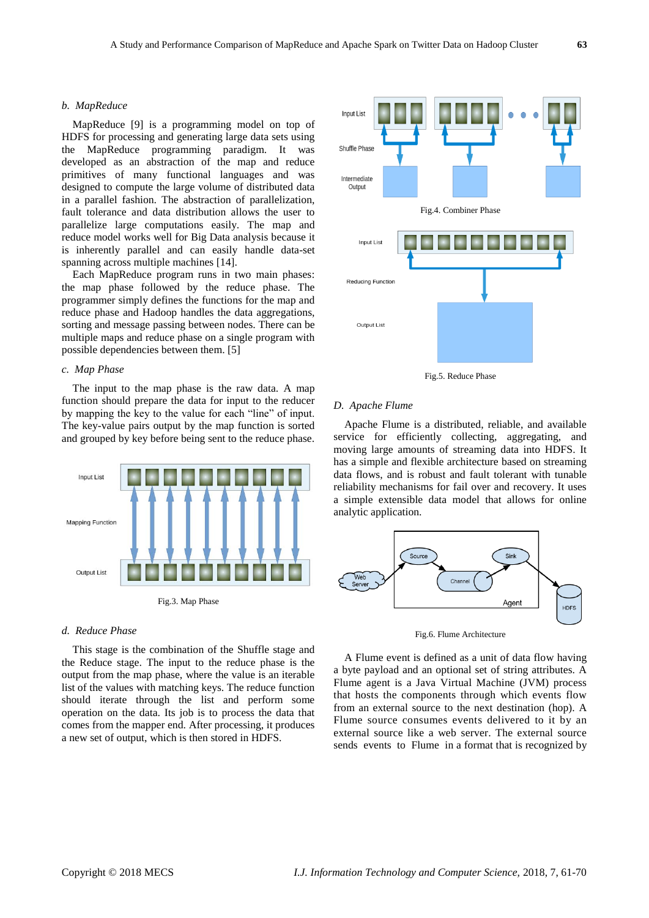#### *b. MapReduce*

MapReduce [9] is a programming model on top of HDFS for processing and generating large data sets using the MapReduce programming paradigm. It was developed as an abstraction of the map and reduce primitives of many functional languages and was designed to compute the large volume of distributed data in a parallel fashion. The abstraction of parallelization, fault tolerance and data distribution allows the user to parallelize large computations easily. The map and reduce model works well for Big Data analysis because it is inherently parallel and can easily handle data-set spanning across multiple machines [14].

Each MapReduce program runs in two main phases: the map phase followed by the reduce phase. The programmer simply defines the functions for the map and reduce phase and Hadoop handles the data aggregations, sorting and message passing between nodes. There can be multiple maps and reduce phase on a single program with possible dependencies between them. [5]

#### *c. Map Phase*

The input to the map phase is the raw data. A map function should prepare the data for input to the reducer by mapping the key to the value for each "line" of input. The key-value pairs output by the map function is sorted and grouped by key before being sent to the reduce phase.



#### *d. Reduce Phase*

This stage is the combination of the Shuffle stage and the Reduce stage. The input to the reduce phase is the output from the map phase, where the value is an iterable list of the values with matching keys. The reduce function should iterate through the list and perform some operation on the data. Its job is to process the data that comes from the mapper end. After processing, it produces a new set of output, which is then stored in HDFS.



Fig.5. Reduce Phase

#### *D. Apache Flume*

Apache Flume is a distributed, reliable, and available service for efficiently collecting, aggregating, and moving large amounts of streaming data into HDFS. It has a simple and flexible architecture based on streaming data flows, and is robust and fault tolerant with tunable reliability mechanisms for fail over and recovery. It uses a simple extensible data model that allows for online analytic application.



Fig.6. Flume Architecture

A Flume event is defined as a unit of data flow having a byte payload and an optional set of string attributes. A Flume agent is a Java Virtual Machine (JVM) process that hosts the components through which events flow from an external source to the next destination (hop). A Flume source consumes events delivered to it by an external source like a web server. The external source sends events to Flume in a format that is recognized by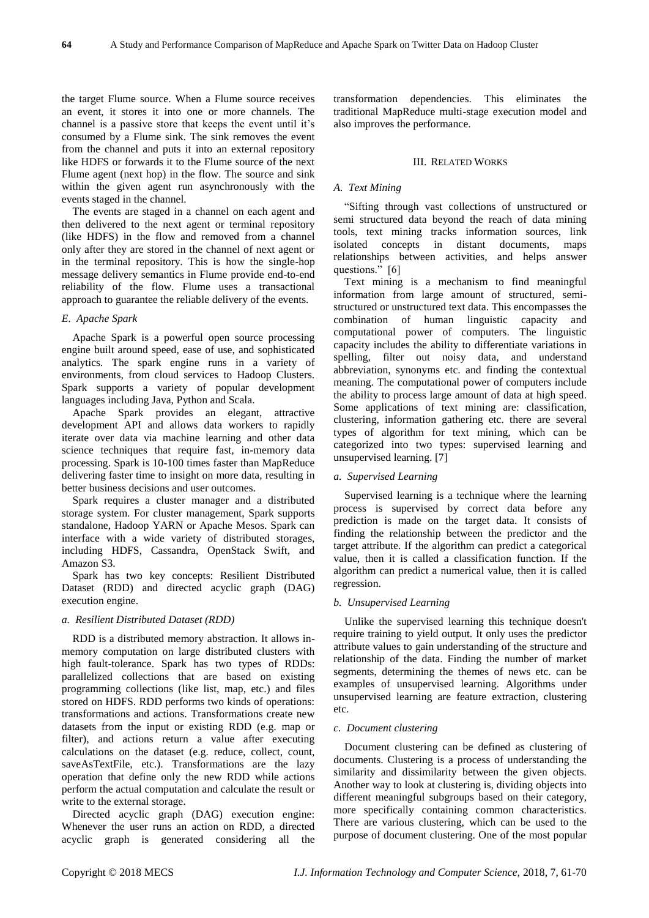the target Flume source. When a Flume source receives an event, it stores it into one or more channels. The channel is a passive store that keeps the event until it's consumed by a Flume sink. The sink removes the event from the channel and puts it into an external repository like HDFS or forwards it to the Flume source of the next Flume agent (next hop) in the flow. The source and sink within the given agent run asynchronously with the events staged in the channel.

The events are staged in a channel on each agent and then delivered to the next agent or terminal repository (like HDFS) in the flow and removed from a channel only after they are stored in the channel of next agent or in the terminal repository. This is how the single-hop message delivery semantics in Flume provide end-to-end reliability of the flow. Flume uses a transactional approach to guarantee the reliable delivery of the events.

## *E. Apache Spark*

Apache Spark is a powerful open source processing engine built around speed, ease of use, and sophisticated analytics. The spark engine runs in a variety of environments, from cloud services to Hadoop Clusters. Spark supports a variety of popular development languages including Java, Python and Scala.

Apache Spark provides an elegant, attractive development API and allows data workers to rapidly iterate over data via machine learning and other data science techniques that require fast, in-memory data processing. Spark is 10-100 times faster than MapReduce delivering faster time to insight on more data, resulting in better business decisions and user outcomes.

Spark requires a cluster manager and a distributed storage system. For cluster management, Spark supports standalone, Hadoop YARN or Apache Mesos. Spark can interface with a wide variety of distributed storages, including HDFS, Cassandra, OpenStack Swift, and Amazon S3.

Spark has two key concepts: Resilient Distributed Dataset (RDD) and directed acyclic graph (DAG) execution engine.

# *a. Resilient Distributed Dataset (RDD)*

RDD is a distributed memory abstraction. It allows inmemory computation on large distributed clusters with high fault-tolerance. Spark has two types of RDDs: parallelized collections that are based on existing programming collections (like list, map, etc.) and files stored on HDFS. RDD performs two kinds of operations: transformations and actions. Transformations create new datasets from the input or existing RDD (e.g. map or filter), and actions return a value after executing calculations on the dataset (e.g. reduce, collect, count, saveAsTextFile, etc.). Transformations are the lazy operation that define only the new RDD while actions perform the actual computation and calculate the result or write to the external storage.

Directed acyclic graph (DAG) execution engine: Whenever the user runs an action on RDD, a directed acyclic graph is generated considering all the transformation dependencies. This eliminates the traditional MapReduce multi-stage execution model and also improves the performance.

## III. RELATED WORKS

#### *A. Text Mining*

"Sifting through vast collections of unstructured or semi structured data beyond the reach of data mining tools, text mining tracks information sources, link isolated concepts in distant documents, maps relationships between activities, and helps answer questions." [6]

Text mining is a mechanism to find meaningful information from large amount of structured, semistructured or unstructured text data. This encompasses the combination of human linguistic capacity and computational power of computers. The linguistic capacity includes the ability to differentiate variations in spelling, filter out noisy data, and understand abbreviation, synonyms etc. and finding the contextual meaning. The computational power of computers include the ability to process large amount of data at high speed. Some applications of text mining are: classification, clustering, information gathering etc. there are several types of algorithm for text mining, which can be categorized into two types: supervised learning and unsupervised learning. [7]

#### *a. Supervised Learning*

Supervised learning is a technique where the learning process is supervised by correct data before any prediction is made on the target data. It consists of finding the relationship between the predictor and the target attribute. If the algorithm can predict a categorical value, then it is called a classification function. If the algorithm can predict a numerical value, then it is called regression.

## *b. Unsupervised Learning*

Unlike the supervised learning this technique doesn't require training to yield output. It only uses the predictor attribute values to gain understanding of the structure and relationship of the data. Finding the number of market segments, determining the themes of news etc. can be examples of unsupervised learning. Algorithms under unsupervised learning are feature extraction, clustering etc.

## *c. Document clustering*

Document clustering can be defined as clustering of documents. Clustering is a process of understanding the similarity and dissimilarity between the given objects. Another way to look at clustering is, dividing objects into different meaningful subgroups based on their category, more specifically containing common characteristics. There are various clustering, which can be used to the purpose of document clustering. One of the most popular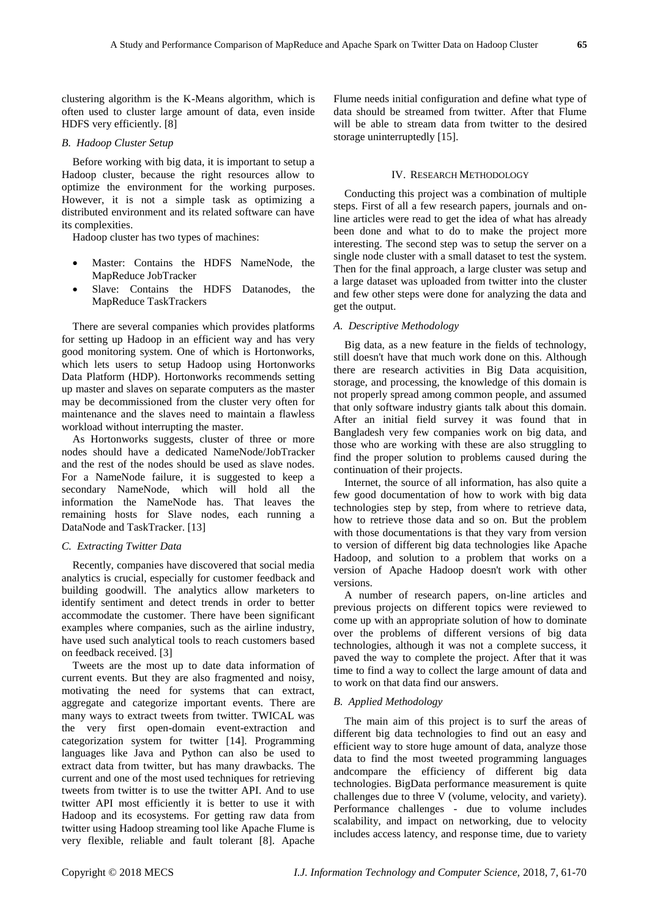clustering algorithm is the K-Means algorithm, which is often used to cluster large amount of data, even inside HDFS very efficiently. [8]

#### *B. Hadoop Cluster Setup*

Before working with big data, it is important to setup a Hadoop cluster, because the right resources allow to optimize the environment for the working purposes. However, it is not a simple task as optimizing a distributed environment and its related software can have its complexities.

Hadoop cluster has two types of machines:

- Master: Contains the HDFS NameNode, the MapReduce JobTracker
- Slave: Contains the HDFS Datanodes, the MapReduce TaskTrackers

There are several companies which provides platforms for setting up Hadoop in an efficient way and has very good monitoring system. One of which is Hortonworks, which lets users to setup Hadoop using Hortonworks Data Platform (HDP). Hortonworks recommends setting up master and slaves on separate computers as the master may be decommissioned from the cluster very often for maintenance and the slaves need to maintain a flawless workload without interrupting the master.

As Hortonworks suggests, cluster of three or more nodes should have a dedicated NameNode/JobTracker and the rest of the nodes should be used as slave nodes. For a NameNode failure, it is suggested to keep a secondary NameNode, which will hold all the information the NameNode has. That leaves the remaining hosts for Slave nodes, each running a DataNode and TaskTracker. [13]

## *C. Extracting Twitter Data*

Recently, companies have discovered that social media analytics is crucial, especially for customer feedback and building goodwill. The analytics allow marketers to identify sentiment and detect trends in order to better accommodate the customer. There have been significant examples where companies, such as the airline industry, have used such analytical tools to reach customers based on feedback received. [3]

Tweets are the most up to date data information of current events. But they are also fragmented and noisy, motivating the need for systems that can extract, aggregate and categorize important events. There are many ways to extract tweets from twitter. TWICAL was the very first open-domain event-extraction and categorization system for twitter [14]. Programming languages like Java and Python can also be used to extract data from twitter, but has many drawbacks. The current and one of the most used techniques for retrieving tweets from twitter is to use the twitter API. And to use twitter API most efficiently it is better to use it with Hadoop and its ecosystems. For getting raw data from twitter using Hadoop streaming tool like Apache Flume is very flexible, reliable and fault tolerant [8]. Apache

Flume needs initial configuration and define what type of data should be streamed from twitter. After that Flume will be able to stream data from twitter to the desired storage uninterruptedly [15].

## IV. RESEARCH METHODOLOGY

Conducting this project was a combination of multiple steps. First of all a few research papers, journals and online articles were read to get the idea of what has already been done and what to do to make the project more interesting. The second step was to setup the server on a single node cluster with a small dataset to test the system. Then for the final approach, a large cluster was setup and a large dataset was uploaded from twitter into the cluster and few other steps were done for analyzing the data and get the output.

## *A. Descriptive Methodology*

Big data, as a new feature in the fields of technology, still doesn't have that much work done on this. Although there are research activities in Big Data acquisition, storage, and processing, the knowledge of this domain is not properly spread among common people, and assumed that only software industry giants talk about this domain. After an initial field survey it was found that in Bangladesh very few companies work on big data, and those who are working with these are also struggling to find the proper solution to problems caused during the continuation of their projects.

Internet, the source of all information, has also quite a few good documentation of how to work with big data technologies step by step, from where to retrieve data, how to retrieve those data and so on. But the problem with those documentations is that they vary from version to version of different big data technologies like Apache Hadoop, and solution to a problem that works on a version of Apache Hadoop doesn't work with other versions.

A number of research papers, on-line articles and previous projects on different topics were reviewed to come up with an appropriate solution of how to dominate over the problems of different versions of big data technologies, although it was not a complete success, it paved the way to complete the project. After that it was time to find a way to collect the large amount of data and to work on that data find our answers.

#### *B. Applied Methodology*

The main aim of this project is to surf the areas of different big data technologies to find out an easy and efficient way to store huge amount of data, analyze those data to find the most tweeted programming languages andcompare the efficiency of different big data technologies. BigData performance measurement is quite challenges due to three V (volume, velocity, and variety). Performance challenges - due to volume includes scalability, and impact on networking, due to velocity includes access latency, and response time, due to variety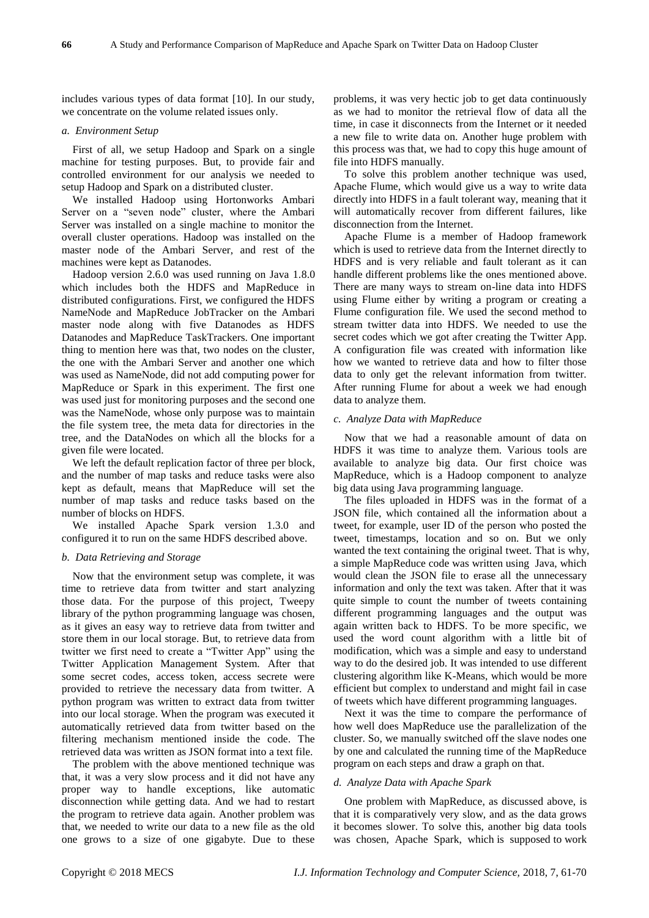includes various types of data format [10]. In our study, we concentrate on the volume related issues only.

#### *a. Environment Setup*

First of all, we setup Hadoop and Spark on a single machine for testing purposes. But, to provide fair and controlled environment for our analysis we needed to setup Hadoop and Spark on a distributed cluster.

We installed Hadoop using Hortonworks Ambari Server on a "seven node" cluster, where the Ambari Server was installed on a single machine to monitor the overall cluster operations. Hadoop was installed on the master node of the Ambari Server, and rest of the machines were kept as Datanodes.

Hadoop version 2.6.0 was used running on Java 1.8.0 which includes both the HDFS and MapReduce in distributed configurations. First, we configured the HDFS NameNode and MapReduce JobTracker on the Ambari master node along with five Datanodes as HDFS Datanodes and MapReduce TaskTrackers. One important thing to mention here was that, two nodes on the cluster, the one with the Ambari Server and another one which was used as NameNode, did not add computing power for MapReduce or Spark in this experiment. The first one was used just for monitoring purposes and the second one was the NameNode, whose only purpose was to maintain the file system tree, the meta data for directories in the tree, and the DataNodes on which all the blocks for a given file were located.

We left the default replication factor of three per block, and the number of map tasks and reduce tasks were also kept as default, means that MapReduce will set the number of map tasks and reduce tasks based on the number of blocks on HDFS.

We installed Apache Spark version 1.3.0 and configured it to run on the same HDFS described above.

## *b. Data Retrieving and Storage*

Now that the environment setup was complete, it was time to retrieve data from twitter and start analyzing those data. For the purpose of this project, Tweepy library of the python programming language was chosen, as it gives an easy way to retrieve data from twitter and store them in our local storage. But, to retrieve data from twitter we first need to create a "Twitter App" using the Twitter Application Management System. After that some secret codes, access token, access secrete were provided to retrieve the necessary data from twitter. A python program was written to extract data from twitter into our local storage. When the program was executed it automatically retrieved data from twitter based on the filtering mechanism mentioned inside the code. The retrieved data was written as JSON format into a text file.

The problem with the above mentioned technique was that, it was a very slow process and it did not have any proper way to handle exceptions, like automatic disconnection while getting data. And we had to restart the program to retrieve data again. Another problem was that, we needed to write our data to a new file as the old one grows to a size of one gigabyte. Due to these problems, it was very hectic job to get data continuously as we had to monitor the retrieval flow of data all the time, in case it disconnects from the Internet or it needed a new file to write data on. Another huge problem with this process was that, we had to copy this huge amount of file into HDFS manually.

To solve this problem another technique was used, Apache Flume, which would give us a way to write data directly into HDFS in a fault tolerant way, meaning that it will automatically recover from different failures, like disconnection from the Internet.

Apache Flume is a member of Hadoop framework which is used to retrieve data from the Internet directly to HDFS and is very reliable and fault tolerant as it can handle different problems like the ones mentioned above. There are many ways to stream on-line data into HDFS using Flume either by writing a program or creating a Flume configuration file. We used the second method to stream twitter data into HDFS. We needed to use the secret codes which we got after creating the Twitter App. A configuration file was created with information like how we wanted to retrieve data and how to filter those data to only get the relevant information from twitter. After running Flume for about a week we had enough data to analyze them.

#### *c. Analyze Data with MapReduce*

Now that we had a reasonable amount of data on HDFS it was time to analyze them. Various tools are available to analyze big data. Our first choice was MapReduce, which is a Hadoop component to analyze big data using Java programming language.

The files uploaded in HDFS was in the format of a JSON file, which contained all the information about a tweet, for example, user ID of the person who posted the tweet, timestamps, location and so on. But we only wanted the text containing the original tweet. That is why, a simple MapReduce code was written using Java, which would clean the JSON file to erase all the unnecessary information and only the text was taken. After that it was quite simple to count the number of tweets containing different programming languages and the output was again written back to HDFS. To be more specific, we used the word count algorithm with a little bit of modification, which was a simple and easy to understand way to do the desired job. It was intended to use different clustering algorithm like K-Means, which would be more efficient but complex to understand and might fail in case of tweets which have different programming languages.

Next it was the time to compare the performance of how well does MapReduce use the parallelization of the cluster. So, we manually switched off the slave nodes one by one and calculated the running time of the MapReduce program on each steps and draw a graph on that.

#### *d. Analyze Data with Apache Spark*

One problem with MapReduce, as discussed above, is that it is comparatively very slow, and as the data grows it becomes slower. To solve this, another big data tools was chosen, Apache Spark, which is supposed to work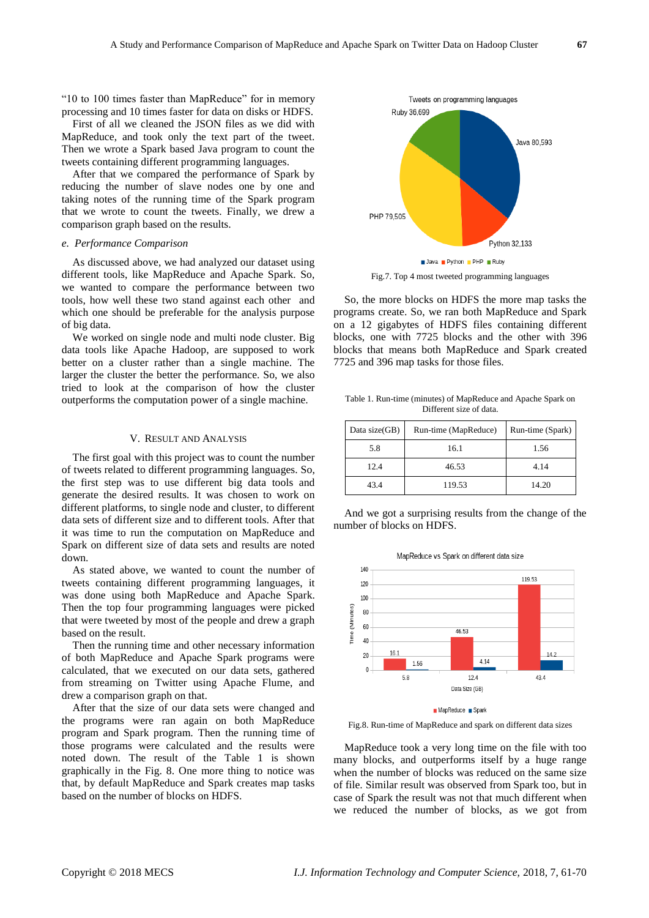"10 to 100 times faster than MapReduce" for in memory processing and 10 times faster for data on disks or HDFS.

First of all we cleaned the JSON files as we did with MapReduce, and took only the text part of the tweet. Then we wrote a Spark based Java program to count the tweets containing different programming languages.

After that we compared the performance of Spark by reducing the number of slave nodes one by one and taking notes of the running time of the Spark program that we wrote to count the tweets. Finally, we drew a comparison graph based on the results.

#### *e. Performance Comparison*

As discussed above, we had analyzed our dataset using different tools, like MapReduce and Apache Spark. So, we wanted to compare the performance between two tools, how well these two stand against each other and which one should be preferable for the analysis purpose of big data.

We worked on single node and multi node cluster. Big data tools like Apache Hadoop, are supposed to work better on a cluster rather than a single machine. The larger the cluster the better the performance. So, we also tried to look at the comparison of how the cluster outperforms the computation power of a single machine.

## V. RESULT AND ANALYSIS

The first goal with this project was to count the number of tweets related to different programming languages. So, the first step was to use different big data tools and generate the desired results. It was chosen to work on different platforms, to single node and cluster, to different data sets of different size and to different tools. After that it was time to run the computation on MapReduce and Spark on different size of data sets and results are noted down.

As stated above, we wanted to count the number of tweets containing different programming languages, it was done using both MapReduce and Apache Spark. Then the top four programming languages were picked that were tweeted by most of the people and drew a graph based on the result.

Then the running time and other necessary information of both MapReduce and Apache Spark programs were calculated, that we executed on our data sets, gathered from streaming on Twitter using Apache Flume, and drew a comparison graph on that.

After that the size of our data sets were changed and the programs were ran again on both MapReduce program and Spark program. Then the running time of those programs were calculated and the results were noted down. The result of the Table 1 is shown graphically in the Fig. 8. One more thing to notice was that, by default MapReduce and Spark creates map tasks based on the number of blocks on HDFS.



Fig.7. Top 4 most tweeted programming languages

So, the more blocks on HDFS the more map tasks the programs create. So, we ran both MapReduce and Spark on a 12 gigabytes of HDFS files containing different blocks, one with 7725 blocks and the other with 396 blocks that means both MapReduce and Spark created 7725 and 396 map tasks for those files.

Table 1. Run-time (minutes) of MapReduce and Apache Spark on Different size of data.

| Data size $(GB)$ | Run-time (MapReduce) | Run-time (Spark) |
|------------------|----------------------|------------------|
| 5.8              | 16.1                 | 1.56             |
| 12.4             | 46.53                | 4.14             |
| 43.4             | 119.53               | 14.20            |

And we got a surprising results from the change of the number of blocks on HDFS.



Fig.8. Run-time of MapReduce and spark on different data sizes

MapReduce took a very long time on the file with too many blocks, and outperforms itself by a huge range when the number of blocks was reduced on the same size of file. Similar result was observed from Spark too, but in case of Spark the result was not that much different when we reduced the number of blocks, as we got from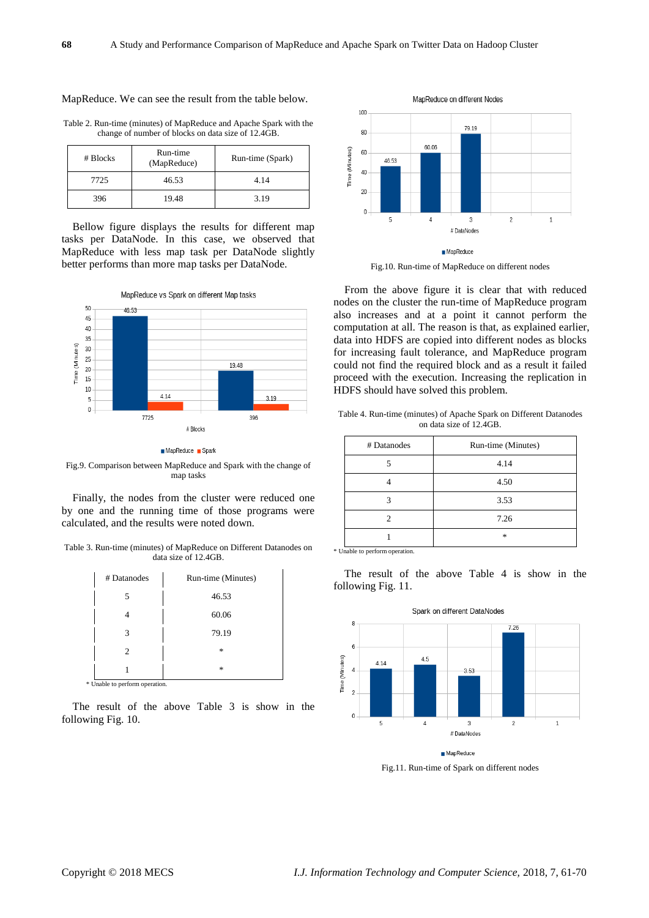MapReduce. We can see the result from the table below.

Table 2. Run-time (minutes) of MapReduce and Apache Spark with the change of number of blocks on data size of 12.4GB.

| # Blocks | Run-time<br>(MapReduce) | Run-time (Spark) |
|----------|-------------------------|------------------|
| 7725     | 46.53                   | 4.14             |
| 396      | 19.48                   | 3.19             |

Bellow figure displays the results for different map tasks per DataNode. In this case, we observed that MapReduce with less map task per DataNode slightly better performs than more map tasks per DataNode.

MapReduce vs Spark on different Map tasks



MapReduce Spark

Fig.9. Comparison between MapReduce and Spark with the change of map tasks

Finally, the nodes from the cluster were reduced one by one and the running time of those programs were calculated, and the results were noted down.

Table 3. Run-time (minutes) of MapReduce on Different Datanodes on data size of 12.4GB.

| # Datanodes | Run-time (Minutes) |
|-------------|--------------------|
| 5           | 46.53              |
|             | 60.06              |
| 3           | 79.19              |
| 2           | $\ast$             |
|             | ∗                  |

\* Unable to perform operation.

The result of the above Table 3 is show in the following Fig. 10.



Fig.10. Run-time of MapReduce on different nodes

From the above figure it is clear that with reduced nodes on the cluster the run-time of MapReduce program also increases and at a point it cannot perform the computation at all. The reason is that, as explained earlier, data into HDFS are copied into different nodes as blocks for increasing fault tolerance, and MapReduce program could not find the required block and as a result it failed proceed with the execution. Increasing the replication in HDFS should have solved this problem.

Table 4. Run-time (minutes) of Apache Spark on Different Datanodes on data size of 12.4GB.

| # Datanodes                    | Run-time (Minutes) |  |
|--------------------------------|--------------------|--|
| 5                              | 4.14               |  |
|                                | 4.50               |  |
| 3                              | 3.53               |  |
| 2                              | 7.26               |  |
|                                | $\frac{1}{2}$      |  |
| : Utanbla ta masfassa amasaina |                    |  |

ble to perform operation

The result of the above Table 4 is show in the following Fig. 11.



Fig.11. Run-time of Spark on different nodes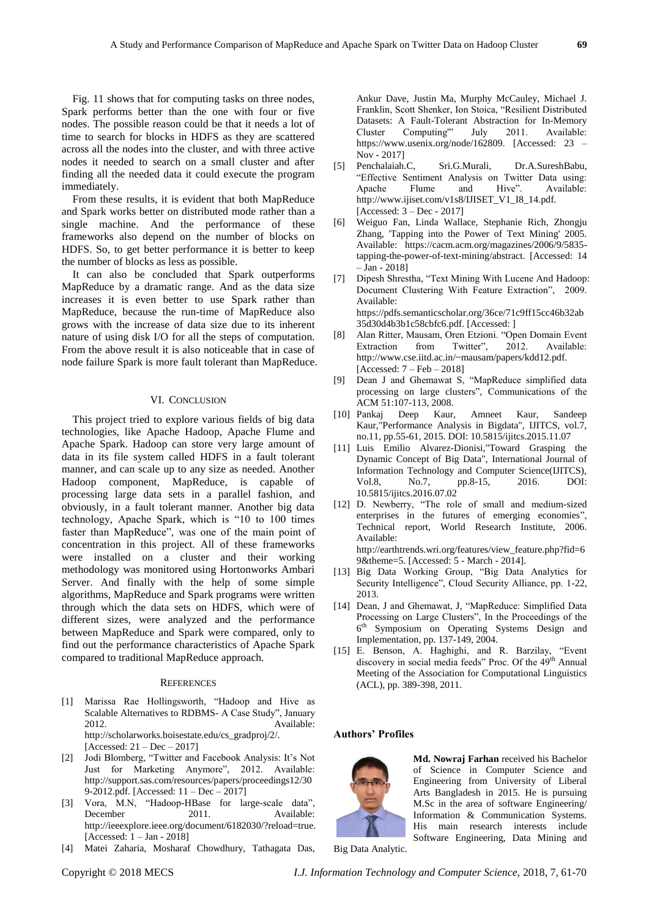Fig. 11 shows that for computing tasks on three nodes, Spark performs better than the one with four or five nodes. The possible reason could be that it needs a lot of time to search for blocks in HDFS as they are scattered across all the nodes into the cluster, and with three active nodes it needed to search on a small cluster and after finding all the needed data it could execute the program immediately.

From these results, it is evident that both MapReduce and Spark works better on distributed mode rather than a single machine. And the performance of these frameworks also depend on the number of blocks on HDFS. So, to get better performance it is better to keep the number of blocks as less as possible.

It can also be concluded that Spark outperforms MapReduce by a dramatic range. And as the data size increases it is even better to use Spark rather than MapReduce, because the run-time of MapReduce also grows with the increase of data size due to its inherent nature of using disk I/O for all the steps of computation. From the above result it is also noticeable that in case of node failure Spark is more fault tolerant than MapReduce.

#### VI. CONCLUSION

This project tried to explore various fields of big data technologies, like Apache Hadoop, Apache Flume and Apache Spark. Hadoop can store very large amount of data in its file system called HDFS in a fault tolerant manner, and can scale up to any size as needed. Another Hadoop component, MapReduce, is capable of processing large data sets in a parallel fashion, and obviously, in a fault tolerant manner. Another big data technology, Apache Spark, which is "10 to 100 times faster than MapReduce", was one of the main point of concentration in this project. All of these frameworks were installed on a cluster and their working methodology was monitored using Hortonworks Ambari Server. And finally with the help of some simple algorithms, MapReduce and Spark programs were written through which the data sets on HDFS, which were of different sizes, were analyzed and the performance between MapReduce and Spark were compared, only to find out the performance characteristics of Apache Spark compared to traditional MapReduce approach.

#### **REFERENCES**

- [1] Marissa Rae Hollingsworth, "Hadoop and Hive as Scalable Alternatives to RDBMS- A Case Study", January 2012. Available: http://scholarworks.boisestate.edu/cs\_gradproj/2/. [Accessed: 21 – Dec – 2017]
- [2] Jodi Blomberg, "Twitter and Facebook Analysis: It's Not Just for Marketing Anymore", 2012. Available: http://support.sas.com/resources/papers/proceedings12/30 9-2012.pdf. [Accessed: 11 – Dec – 2017]
- [3] Vora, M.N, "Hadoop-HBase for large-scale data", December 2011. Available: http://ieeexplore.ieee.org/document/6182030/?reload=true. [Accessed: 1 – Jan - 2018]
- [4] Matei Zaharia, Mosharaf Chowdhury, Tathagata Das,

Ankur Dave, Justin Ma, Murphy McCauley, Michael J. Franklin, Scott Shenker, Ion Stoica, "Resilient Distributed Datasets: A Fault-Tolerant Abstraction for In-Memory Cluster Computing'" July 2011. Available: https://www.usenix.org/node/162809. [Accessed: 23 – Nov - 2017]

- [5] Penchalaiah.C, Sri.G.Murali, Dr.A.SureshBabu, "Effective Sentiment Analysis on Twitter Data using: Apache Flume and Hive". Available: http://www.ijiset.com/v1s8/IJISET\_V1\_I8\_14.pdf. [Accessed: 3 – Dec - 2017]
- [6] Weiguo Fan, Linda Wallace, Stephanie Rich, Zhongju Zhang, 'Tapping into the Power of Text Mining' 2005. Available: https://cacm.acm.org/magazines/2006/9/5835 tapping-the-power-of-text-mining/abstract. [Accessed: 14 – Jan - 2018]
- [7] Dipesh Shrestha, "Text Mining With Lucene And Hadoop: Document Clustering With Feature Extraction", 2009. Available: [https://pdfs.semanticscholar.org/36ce/71c9ff15cc46b32ab](https://pdfs.semanticscholar.org/36ce/71c9ff15cc46b32ab35d30d4b3b1c58cbfc6.pdf) [35d30d4b3b1c58cbfc6.pdf.](https://pdfs.semanticscholar.org/36ce/71c9ff15cc46b32ab35d30d4b3b1c58cbfc6.pdf) [Accessed: ]
- [8] Alan Ritter, Mausam, Oren Etzioni. "Open Domain Event Extraction from Twitter", 2012. Available: http://www.cse.iitd.ac.in/~mausam/papers/kdd12.pdf. [Accessed: 7 – Feb – 2018]
- [9] Dean J and Ghemawat S, "MapReduce simplified data processing on large clusters", Communications of the ACM 51:107-113, 2008.
- [10] Pankaj Deep Kaur, Amneet Kaur, Sandeep Kaur,"Performance Analysis in Bigdata", IJITCS, vol.7, no.11, pp.55-61, 2015. DOI: 10.5815/ijitcs.2015.11.07
- [11] Luis Emilio Alvarez-Dionisi,"Toward Grasping the Dynamic Concept of Big Data", International Journal of Information Technology and Computer Science(IJITCS), Vol.8, No.7, pp.8-15, 2016. DOI: 10.5815/ijitcs.2016.07.02
- [12] D. Newberry, "The role of small and medium-sized enterprises in the futures of emerging economies", Technical report, World Research Institute, 2006. Available: [http://earthtrends.wri.org/features/view\\_feature.php?fid=6](http://earthtrends.wri.org/features/view_feature.php?fid=69&theme=5) [9&theme=5.](http://earthtrends.wri.org/features/view_feature.php?fid=69&theme=5) [Accessed: 5 - March - 2014].
- [13] Big Data Working Group, "Big Data Analytics for Security Intelligence", Cloud Security Alliance, pp. 1-22, 2013.
- [14] Dean, J and Ghemawat, J, "MapReduce: Simplified Data Processing on Large Clusters", In the Proceedings of the 6 th Symposium on Operating Systems Design and Implementation, pp. 137-149, 2004.
- [15] E. Benson, A. Haghighi, and R. Barzilay, "Event discovery in social media feeds" Proc. Of the 49<sup>th</sup> Annual Meeting of the Association for Computational Linguistics (ACL), pp. 389-398, 2011.

#### **Authors' Profiles**



**Md. Nowraj Farhan** received his Bachelor of Science in Computer Science and Engineering from University of Liberal Arts Bangladesh in 2015. He is pursuing M.Sc in the area of software Engineering/ Information & Communication Systems. His main research interests include Software Engineering, Data Mining and

Big Data Analytic.